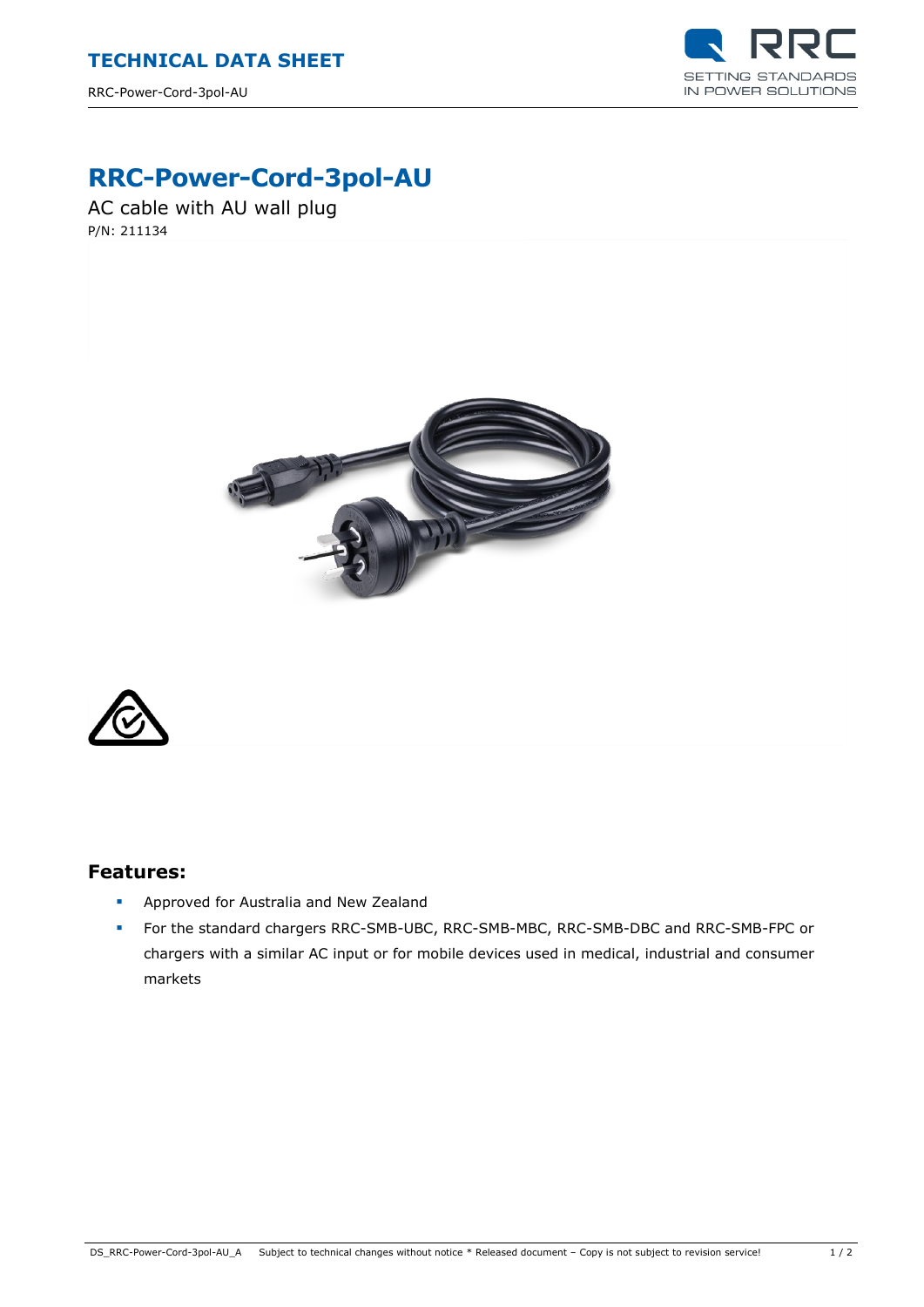

## **RRC-Power-Cord-3pol-AU**

AC cable with AU wall plug P/N: 211134





## **Features:**

- **Approved for Australia and New Zealand**
- For the standard chargers RRC-SMB-UBC, RRC-SMB-MBC, RRC-SMB-DBC and RRC-SMB-FPC or chargers with a similar AC input or for mobile devices used in medical, industrial and consumer markets